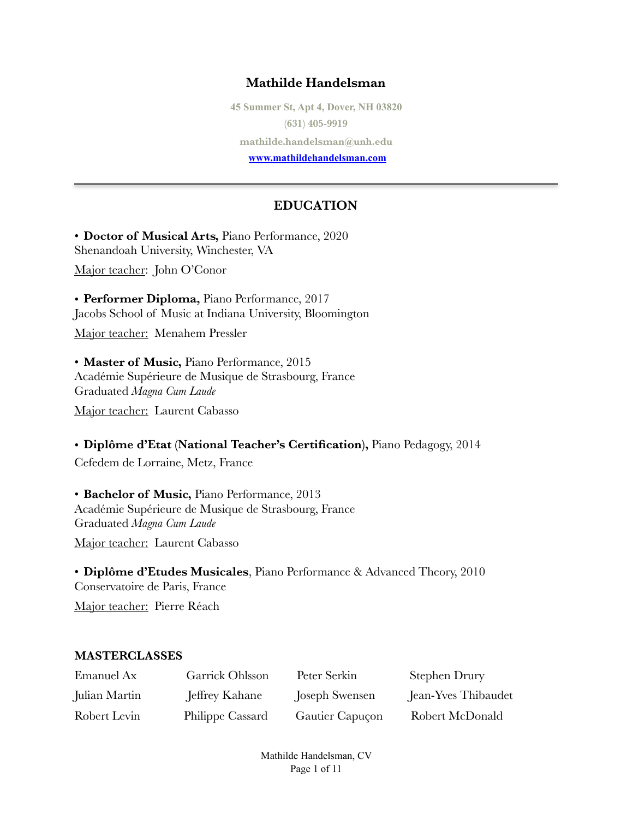# **Mathilde Handelsman**

**45 Summer St, Apt 4, Dover, NH 03820 (631) 405-9919 mathilde.handelsman@unh.edu [www.mathildehandelsman.com](http://www.mathildehandelsman.com)** 

#### **EDUCATION**

• **Doctor of Musical Arts,** Piano Performance, 2020 Shenandoah University, Winchester, VA

Major teacher: John O'Conor

• **Performer Diploma,** Piano Performance, 2017 Jacobs School of Music at Indiana University, Bloomington

Major teacher: Menahem Pressler

• **Master of Music,** Piano Performance, 2015 Académie Supérieure de Musique de Strasbourg, France Graduated *Magna Cum Laude*

Major teacher: Laurent Cabasso

• **Diplôme d'Etat (National Teacher's Certification),** Piano Pedagogy, 2014

Cefedem de Lorraine, Metz, France

• **Bachelor of Music,** Piano Performance, 2013 Académie Supérieure de Musique de Strasbourg, France Graduated *Magna Cum Laude*

Major teacher: Laurent Cabasso

• **Diplôme d'Etudes Musicales**, Piano Performance & Advanced Theory, 2010 Conservatoire de Paris, France

Major teacher: Pierre Réach

#### **MASTERCLASSES**

| Emanuel Ax    | Garrick Ohlsson  | Peter Serkin    | Stephen Drury       |
|---------------|------------------|-----------------|---------------------|
| Julian Martin | Jeffrey Kahane   | Joseph Swensen  | Jean-Yves Thibaudet |
| Robert Levin  | Philippe Cassard | Gautier Capuçon | Robert McDonald     |

Mathilde Handelsman, CV Page 1 of 11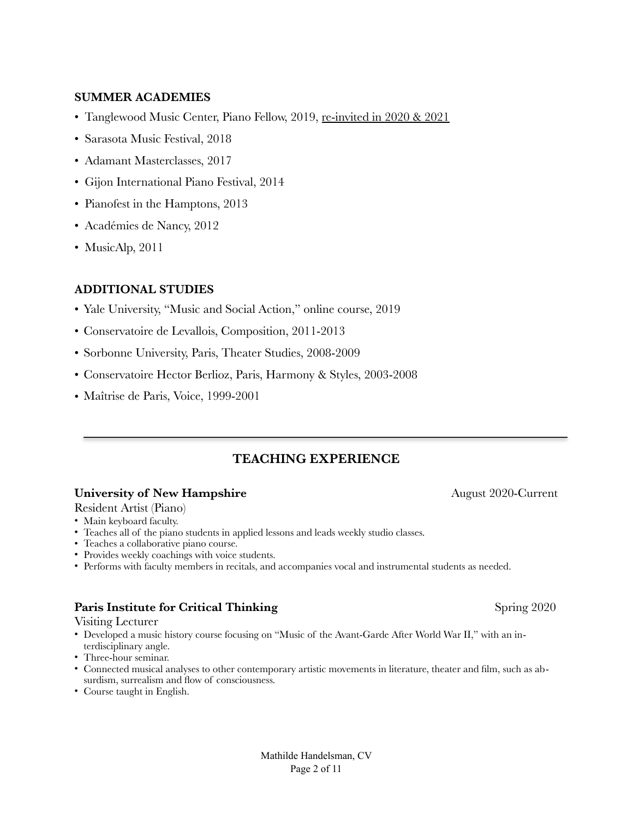#### **SUMMER ACADEMIES**

- Tanglewood Music Center, Piano Fellow, 2019, re-invited in 2020 & 2021
- Sarasota Music Festival, 2018
- Adamant Masterclasses, 2017
- Gijon International Piano Festival, 2014
- Pianofest in the Hamptons, 2013
- Académies de Nancy, 2012
- MusicAlp, 2011

#### **ADDITIONAL STUDIES**

- Yale University, "Music and Social Action," online course, 2019
- Conservatoire de Levallois, Composition, 2011-2013
- Sorbonne University, Paris, Theater Studies, 2008-2009
- Conservatoire Hector Berlioz, Paris, Harmony & Styles, 2003-2008
- Maîtrise de Paris, Voice, 1999-2001

#### **TEACHING EXPERIENCE**

#### **University of New Hampshire August 2020-Current**

#### Resident Artist (Piano)

- Main keyboard faculty.
- Teaches all of the piano students in applied lessons and leads weekly studio classes.
- Teaches a collaborative piano course.
- Provides weekly coachings with voice students.
- Performs with faculty members in recitals, and accompanies vocal and instrumental students as needed.

#### **Paris Institute for Critical Thinking** Spring 2020

#### Visiting Lecturer

- Developed a music history course focusing on "Music of the Avant-Garde After World War II," with an interdisciplinary angle.
- Three-hour seminar.
- Connected musical analyses to other contemporary artistic movements in literature, theater and film, such as absurdism, surrealism and flow of consciousness.
- Course taught in English.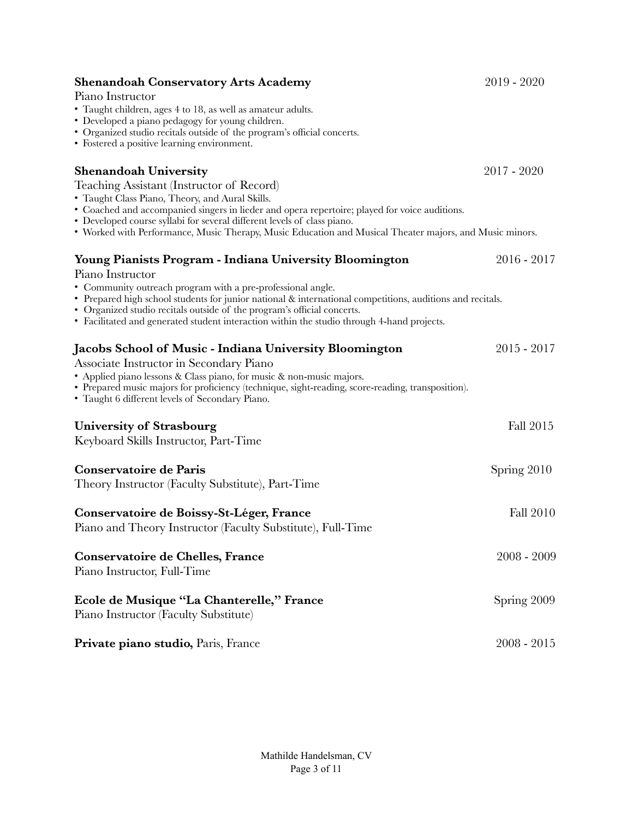| <b>Shenandoah Conservatory Arts Academy</b><br>Piano Instructor<br>• Taught children, ages 4 to 18, as well as amateur adults.                                                                                                                                                                                                                                                                                      | 2019 - 2020   |
|---------------------------------------------------------------------------------------------------------------------------------------------------------------------------------------------------------------------------------------------------------------------------------------------------------------------------------------------------------------------------------------------------------------------|---------------|
| • Developed a piano pedagogy for young children.<br>• Organized studio recitals outside of the program's official concerts.<br>• Fostered a positive learning environment.                                                                                                                                                                                                                                          |               |
| <b>Shenandoah University</b><br>Teaching Assistant (Instructor of Record)<br>• Taught Class Piano, Theory, and Aural Skills.<br>• Coached and accompanied singers in lieder and opera repertoire; played for voice auditions.<br>• Developed course syllabi for several different levels of class piano.<br>• Worked with Performance, Music Therapy, Music Education and Musical Theater majors, and Music minors. | 2017 - 2020   |
| <b>Young Pianists Program - Indiana University Bloomington</b>                                                                                                                                                                                                                                                                                                                                                      | $2016 - 2017$ |
| Piano Instructor<br>• Community outreach program with a pre-professional angle.<br>• Prepared high school students for junior national & international competitions, auditions and recitals.<br>• Organized studio recitals outside of the program's official concerts.<br>• Facilitated and generated student interaction within the studio through 4-hand projects.                                               |               |
| Jacobs School of Music - Indiana University Bloomington                                                                                                                                                                                                                                                                                                                                                             | $2015 - 2017$ |
| Associate Instructor in Secondary Piano<br>• Applied piano lessons & Class piano, for music & non-music majors.<br>• Prepared music majors for proficiency (technique, sight-reading, score-reading, transposition).<br>• Taught 6 different levels of Secondary Piano.                                                                                                                                             |               |
| University of Strasbourg                                                                                                                                                                                                                                                                                                                                                                                            | Fall 2015     |
| Keyboard Skills Instructor, Part-Time                                                                                                                                                                                                                                                                                                                                                                               |               |
| Conservatoire de Paris<br>Theory Instructor (Faculty Substitute), Part-Time                                                                                                                                                                                                                                                                                                                                         | Spring 2010   |
| Conservatoire de Boissy-St-Léger, France<br>Piano and Theory Instructor (Faculty Substitute), Full-Time                                                                                                                                                                                                                                                                                                             | Fall 2010     |
| Conservatoire de Chelles, France<br>Piano Instructor, Full-Time                                                                                                                                                                                                                                                                                                                                                     | $2008 - 2009$ |
| Ecole de Musique "La Chanterelle," France<br>Piano Instructor (Faculty Substitute)                                                                                                                                                                                                                                                                                                                                  | Spring 2009   |
| Private piano studio, Paris, France                                                                                                                                                                                                                                                                                                                                                                                 | $2008 - 2015$ |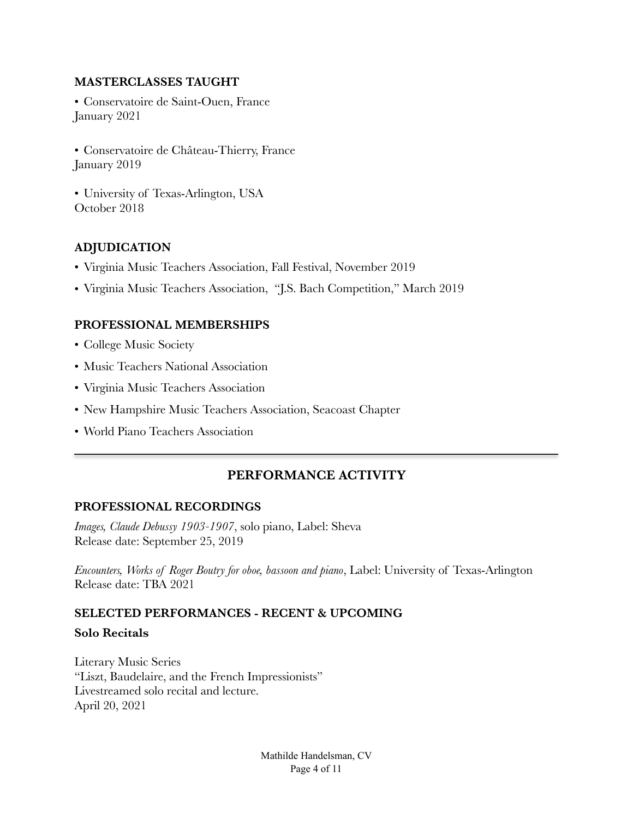#### **MASTERCLASSES TAUGHT**

• Conservatoire de Saint-Ouen, France January 2021

• Conservatoire de Château-Thierry, France January 2019

• University of Texas-Arlington, USA October 2018

#### **ADJUDICATION**

- Virginia Music Teachers Association, Fall Festival, November 2019
- Virginia Music Teachers Association, "J.S. Bach Competition," March 2019

#### **PROFESSIONAL MEMBERSHIPS**

- College Music Society
- Music Teachers National Association
- Virginia Music Teachers Association
- New Hampshire Music Teachers Association, Seacoast Chapter
- World Piano Teachers Association

# **PERFORMANCE ACTIVITY**

#### **PROFESSIONAL RECORDINGS**

*Images, Claude Debussy 1903-1907*, solo piano, Label: Sheva Release date: September 25, 2019

*Encounters, Works of Roger Boutry for oboe, bassoon and piano*, Label: University of Texas-Arlington Release date: TBA 2021

# **SELECTED PERFORMANCES - RECENT & UPCOMING**

#### **Solo Recitals**

Literary Music Series "Liszt, Baudelaire, and the French Impressionists" Livestreamed solo recital and lecture. April 20, 2021

> Mathilde Handelsman, CV Page 4 of 11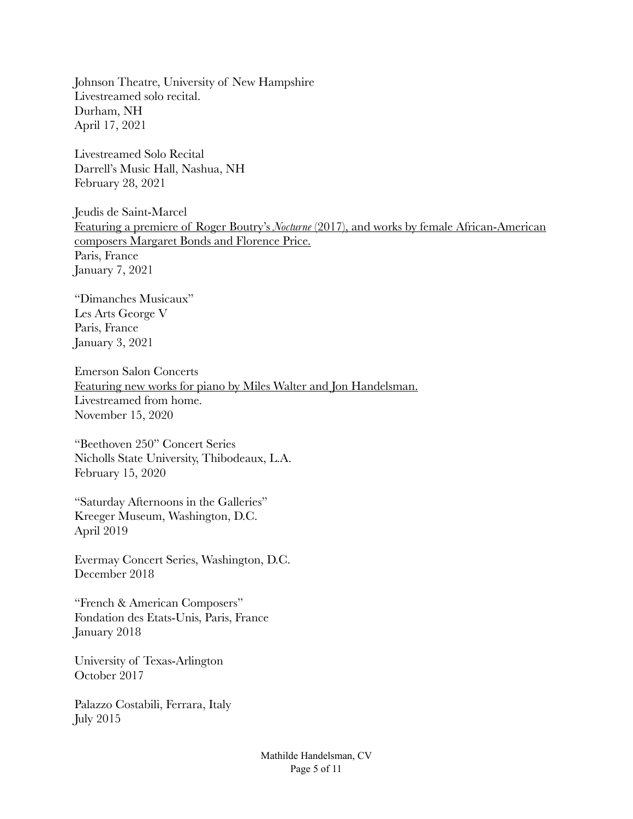Johnson Theatre, University of New Hampshire Livestreamed solo recital. Durham, NH April 17, 2021

Livestreamed Solo Recital Darrell's Music Hall, Nashua, NH February 28, 2021

Jeudis de Saint-Marcel Featuring a premiere of Roger Boutry's *Nocturne* (2017), and works by female African-American composers Margaret Bonds and Florence Price. Paris, France January 7, 2021

"Dimanches Musicaux" Les Arts George V Paris, France January 3, 2021

Emerson Salon Concerts Featuring new works for piano by Miles Walter and Jon Handelsman. Livestreamed from home. November 15, 2020

"Beethoven 250" Concert Series Nicholls State University, Thibodeaux, L.A. February 15, 2020

"Saturday Afternoons in the Galleries" Kreeger Museum, Washington, D.C. April 2019

Evermay Concert Series, Washington, D.C. December 2018

"French & American Composers" Fondation des Etats-Unis, Paris, France January 2018

University of Texas-Arlington October 2017

Palazzo Costabili, Ferrara, Italy July 2015

> Mathilde Handelsman, CV Page 5 of 11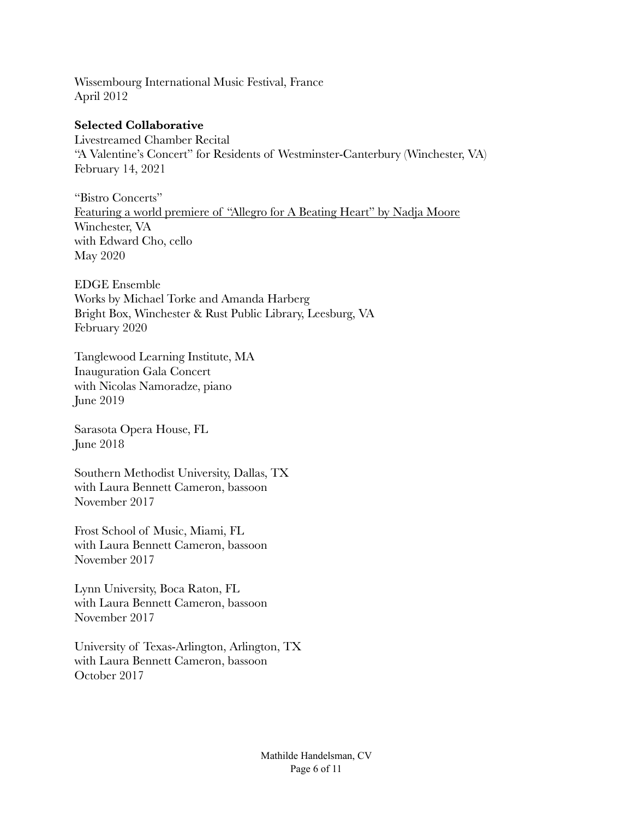Wissembourg International Music Festival, France April 2012

#### **Selected Collaborative**

Livestreamed Chamber Recital "A Valentine's Concert" for Residents of Westminster-Canterbury (Winchester, VA) February 14, 2021

"Bistro Concerts" Featuring a world premiere of "Allegro for A Beating Heart" by Nadja Moore Winchester, VA with Edward Cho, cello May 2020

EDGE Ensemble Works by Michael Torke and Amanda Harberg Bright Box, Winchester & Rust Public Library, Leesburg, VA February 2020

Tanglewood Learning Institute, MA Inauguration Gala Concert with Nicolas Namoradze, piano June 2019

Sarasota Opera House, FL June 2018

Southern Methodist University, Dallas, TX with Laura Bennett Cameron, bassoon November 2017

Frost School of Music, Miami, FL with Laura Bennett Cameron, bassoon November 2017

Lynn University, Boca Raton, FL with Laura Bennett Cameron, bassoon November 2017

University of Texas-Arlington, Arlington, TX with Laura Bennett Cameron, bassoon October 2017

> Mathilde Handelsman, CV Page 6 of 11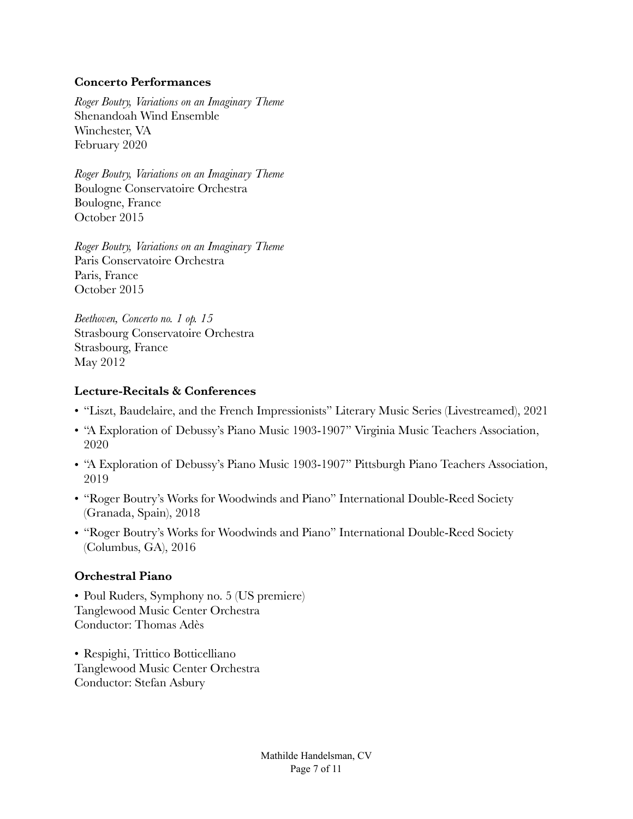#### **Concerto Performances**

*Roger Boutry, Variations on an Imaginary Theme*  Shenandoah Wind Ensemble Winchester, VA February 2020

*Roger Boutry, Variations on an Imaginary Theme*  Boulogne Conservatoire Orchestra Boulogne, France October 2015

*Roger Boutry, Variations on an Imaginary Theme*  Paris Conservatoire Orchestra Paris, France October 2015

*Beethoven, Concerto no. 1 op. 15*  Strasbourg Conservatoire Orchestra Strasbourg, France May 2012

#### **Lecture-Recitals & Conferences**

- "Liszt, Baudelaire, and the French Impressionists" Literary Music Series (Livestreamed), 2021
- "A Exploration of Debussy's Piano Music 1903-1907" Virginia Music Teachers Association, 2020
- "A Exploration of Debussy's Piano Music 1903-1907" Pittsburgh Piano Teachers Association, 2019
- "Roger Boutry's Works for Woodwinds and Piano" International Double-Reed Society (Granada, Spain), 2018
- "Roger Boutry's Works for Woodwinds and Piano" International Double-Reed Society (Columbus, GA), 2016

#### **Orchestral Piano**

• Poul Ruders, Symphony no. 5 (US premiere) Tanglewood Music Center Orchestra Conductor: Thomas Adès

• Respighi, Trittico Botticelliano Tanglewood Music Center Orchestra Conductor: Stefan Asbury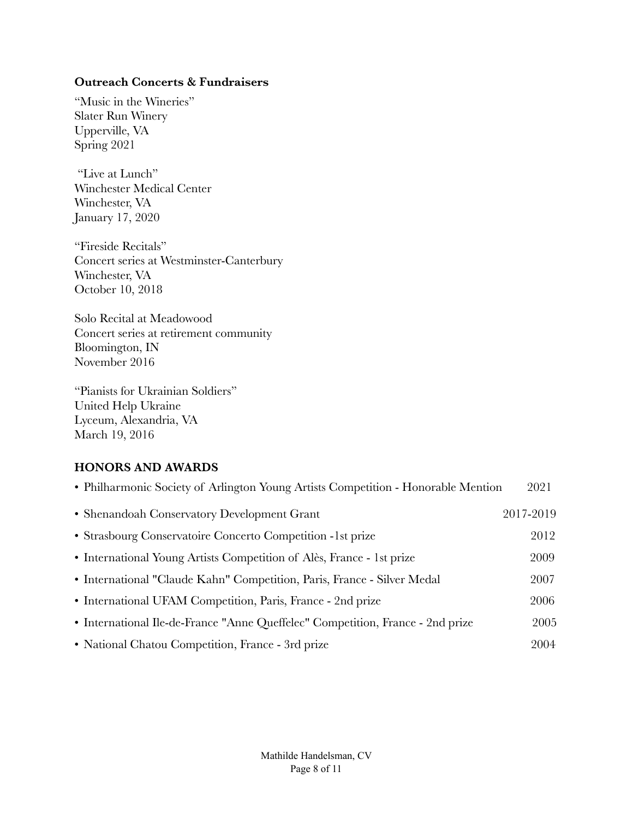#### **Outreach Concerts & Fundraisers**

"Music in the Wineries" Slater Run Winery Upperville, VA Spring 2021

 "Live at Lunch" Winchester Medical Center Winchester, VA January 17, 2020

"Fireside Recitals" Concert series at Westminster-Canterbury Winchester, VA October 10, 2018

Solo Recital at Meadowood Concert series at retirement community Bloomington, IN November 2016

"Pianists for Ukrainian Soldiers" United Help Ukraine Lyceum, Alexandria, VA March 19, 2016

#### **HONORS AND AWARDS**

| • Philharmonic Society of Arlington Young Artists Competition - Honorable Mention | 2021      |
|-----------------------------------------------------------------------------------|-----------|
| • Shenandoah Conservatory Development Grant                                       | 2017-2019 |
| • Strasbourg Conservatoire Concerto Competition -1st prize                        | 2012      |
| • International Young Artists Competition of Alès, France - 1st prize             | 2009      |
| • International "Claude Kahn" Competition, Paris, France - Silver Medal           | 2007      |
| • International UFAM Competition, Paris, France - 2nd prize                       | 2006      |
| • International Ile-de-France "Anne Queffelec" Competition, France - 2nd prize    | 2005      |
| • National Chatou Competition, France - 3rd prize                                 | 2004      |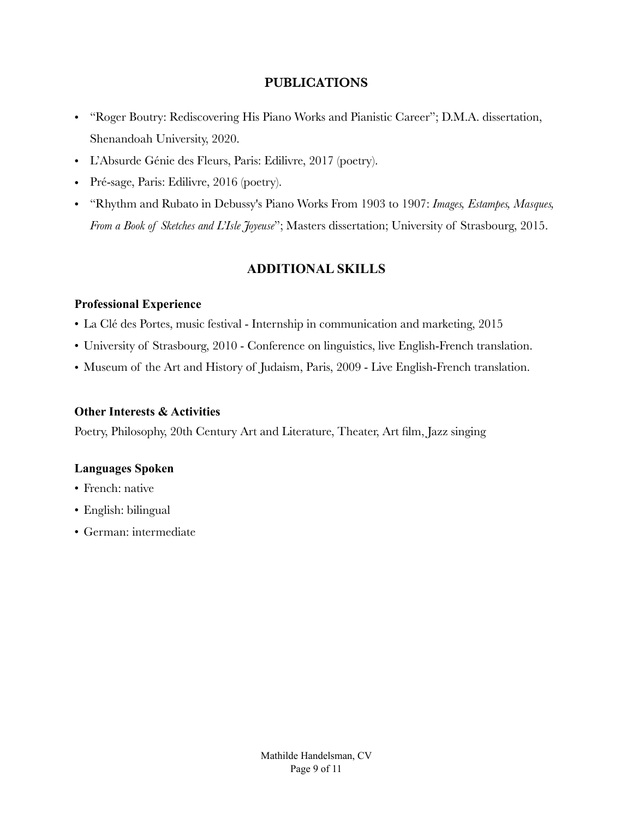#### **PUBLICATIONS**

- "Roger Boutry: Rediscovering His Piano Works and Pianistic Career"; D.M.A. dissertation, Shenandoah University, 2020.
- L'Absurde Génie des Fleurs, Paris: Edilivre, 2017 (poetry).
- Pré-sage, Paris: Edilivre, 2016 (poetry).
- "Rhythm and Rubato in Debussy's Piano Works From 1903 to 1907: *Images, Estampes, Masques, From a Book of Sketches and L'Isle Joyeuse*"; Masters dissertation; University of Strasbourg, 2015.

# **ADDITIONAL SKILLS**

#### **Professional Experience**

- La Clé des Portes, music festival Internship in communication and marketing, 2015
- University of Strasbourg, 2010 Conference on linguistics, live English-French translation.
- Museum of the Art and History of Judaism, Paris, 2009 Live English-French translation.

#### **Other Interests & Activities**

Poetry, Philosophy, 20th Century Art and Literature, Theater, Art film, Jazz singing

#### **Languages Spoken**

- French: native
- English: bilingual
- German: intermediate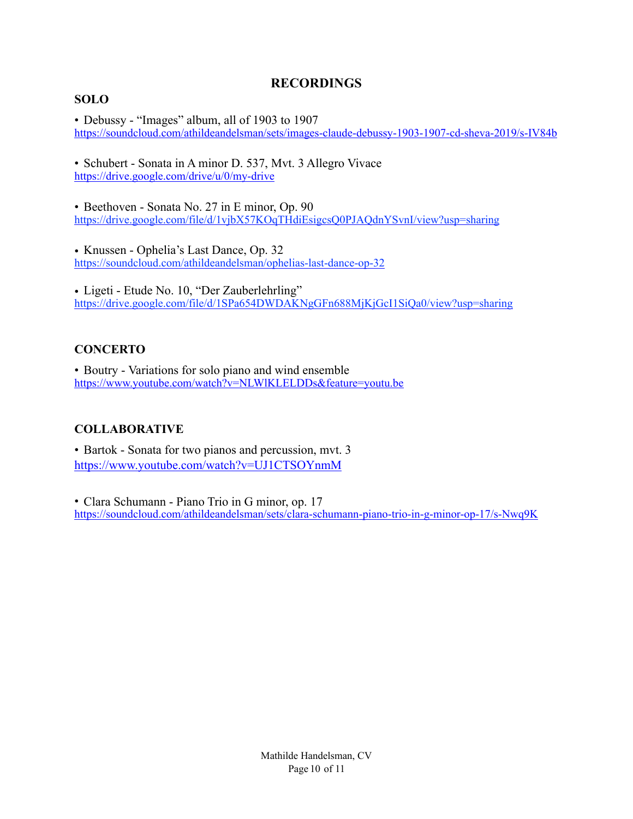# **RECORDINGS**

#### **SOLO**

• Debussy - "Images" album, all of 1903 to 1907 <https://soundcloud.com/athildeandelsman/sets/images-claude-debussy-1903-1907-cd-sheva-2019/s-IV84b>

• Schubert - Sonata in A minor D. 537, Mvt. 3 Allegro Vivace <https://drive.google.com/drive/u/0/my-drive>

• Beethoven - Sonata No. 27 in E minor, Op. 90 <https://drive.google.com/file/d/1vjbX57KOqTHdiEsigcsQ0PJAQdnYSvnI/view?usp=sharing>

• Knussen - Ophelia's Last Dance, Op. 32 <https://soundcloud.com/athildeandelsman/ophelias-last-dance-op-32>

• Ligeti - Etude No. 10, "Der Zauberlehrling" <https://drive.google.com/file/d/1SPa654DWDAKNgGFn688MjKjGcI1SiQa0/view?usp=sharing>

# **CONCERTO**

• Boutry - Variations for solo piano and wind ensemble <https://www.youtube.com/watch?v=NLWlKLELDDs&feature=youtu.be>

# **COLLABORATIVE**

• Bartok - Sonata for two pianos and percussion, mvt. 3 <https://www.youtube.com/watch?v=UJ1CTSOYnmM>

• Clara Schumann - Piano Trio in G minor, op. 17 <https://soundcloud.com/athildeandelsman/sets/clara-schumann-piano-trio-in-g-minor-op-17/s-Nwq9K>

> Mathilde Handelsman, CV Page 10 of 11